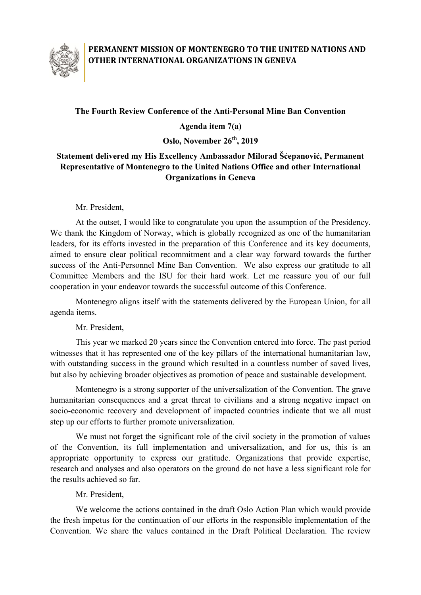

## **PERMANENT MISSION OF MONTENEGRO TO THE UNITED NATIONS AND OTHER INTERNATIONAL ORGANIZATIONS IN GENEVA**

## **The Fourth Review Conference of the Anti-Personal Mine Ban Convention**

**Agenda item 7(a)**

**Oslo, November 26 th, 2019**

## **Statement delivered my His Excellency Ambassador Milorad Šćepanović, Permanent Representative of Montenegro to the United Nations Office and other International Organizations in Geneva**

Mr. President,

At the outset, I would like to congratulate you upon the assumption of the Presidency. We thank the Kingdom of Norway, which is globally recognized as one of the humanitarian leaders, for its efforts invested in the preparation of this Conference and its key documents, aimed to ensure clear political recommitment and a clear way forward towards the further success of the Anti-Personnel Mine Ban Convention. We also express our gratitude to all Committee Members and the ISU for their hard work. Let me reassure you of our full cooperation in your endeavor towards the successful outcome of this Conference.

Montenegro aligns itself with the statements delivered by the European Union, for all agenda items.

Mr. President,

This year we marked 20 years since the Convention entered into force. The past period witnesses that it has represented one of the key pillars of the international humanitarian law, with outstanding success in the ground which resulted in a countless number of saved lives, but also by achieving broader objectives as promotion of peace and sustainable development.

Montenegro is a strong supporter of the universalization of the Convention. The grave humanitarian consequences and a great threat to civilians and a strong negative impact on socio-economic recovery and development of impacted countries indicate that we all must step up our efforts to further promote universalization.

We must not forget the significant role of the civil society in the promotion of values of the Convention, its full implementation and universalization, and for us, this is an appropriate opportunity to express our gratitude. Organizations that provide expertise, research and analyses and also operators on the ground do not have a less significant role for the results achieved so far.

Mr. President,

We welcome the actions contained in the draft Oslo Action Plan which would provide the fresh impetus for the continuation of our efforts in the responsible implementation of the Convention. We share the values contained in the Draft Political Declaration. The review